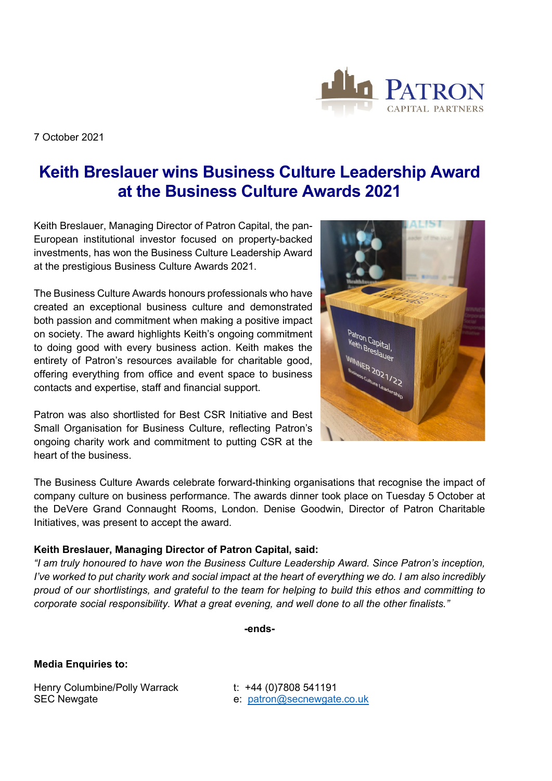

7 October 2021

## **Keith Breslauer wins Business Culture Leadership Award at the Business Culture Awards 2021**

Keith Breslauer, Managing Director of Patron Capital, the pan-European institutional investor focused on property-backed investments, has won the Business Culture Leadership Award at the prestigious Business Culture Awards 2021.

The Business Culture Awards honours professionals who have created an exceptional business culture and demonstrated both passion and commitment when making a positive impact on society. The award highlights Keith's ongoing commitment to doing good with every business action. Keith makes the entirety of Patron's resources available for charitable good, offering everything from office and event space to business contacts and expertise, staff and financial support.

Patron was also shortlisted for Best CSR Initiative and Best Small Organisation for Business Culture, reflecting Patron's ongoing charity work and commitment to putting CSR at the heart of the business.



The Business Culture Awards celebrate forward-thinking organisations that recognise the impact of company culture on business performance. The awards dinner took place on Tuesday 5 October at the DeVere Grand Connaught Rooms, London. Denise Goodwin, Director of Patron Charitable Initiatives, was present to accept the award.

## **Keith Breslauer, Managing Director of Patron Capital, said:**

*"I am truly honoured to have won the Business Culture Leadership Award. Since Patron's inception, I've worked to put charity work and social impact at the heart of everything we do. I am also incredibly proud of our shortlistings, and grateful to the team for helping to build this ethos and committing to corporate social responsibility. What a great evening, and well done to all the other finalists."*

**-ends-**

**Media Enquiries to:**

Henry Columbine/Polly Warrack t: +44 (0)7808 541191 SEC Newgate **EXACTER EXACTES** e: [patron@secnewgate.co.uk](mailto:patron@secnewgate.co.uk)